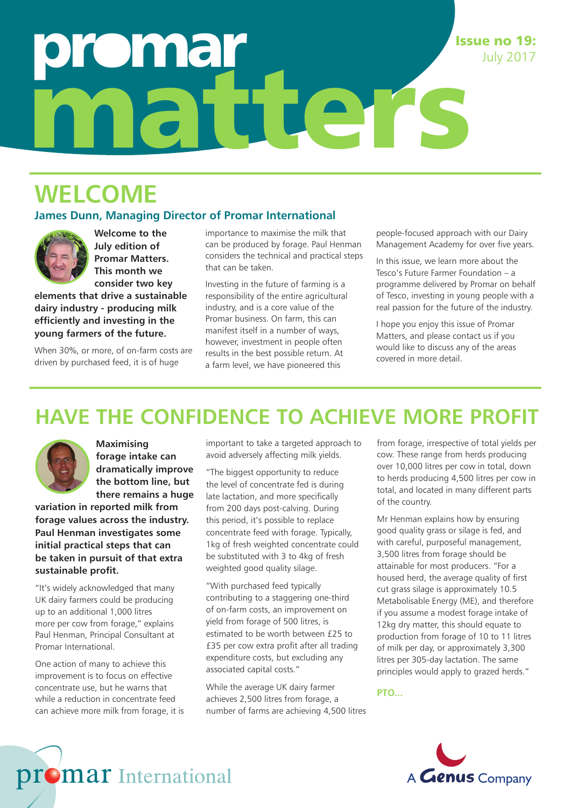# **Drinal** matters Issue no 19:

## **WELCOME**

#### **James Dunn, Managing Director of Promar International**



**Welcome to the July edition of Promar Matters. This month we consider two key** 

**elements that drive a sustainable dairy industry - producing milk efficiently and investing in the young farmers of the future.**

When 30%, or more, of on-farm costs are driven by purchased feed, it is of huge

importance to maximise the milk that can be produced by forage. Paul Henman considers the technical and practical steps that can be taken.

Investing in the future of farming is a responsibility of the entire agricultural industry, and is a core value of the Promar business. On farm, this can manifest itself in a number of ways, however, investment in people often results in the best possible return. At a farm level, we have pioneered this

people-focused approach with our Dairy Management Academy for over five years.

July 2017

In this issue, we learn more about the Tesco's Future Farmer Foundation – a programme delivered by Promar on behalf of Tesco, investing in young people with a real passion for the future of the industry.

I hope you enjoy this issue of Promar Matters, and please contact us if you would like to discuss any of the areas covered in more detail.

### **HAVE THE CONFIDENCE TO ACHIEVE MORE PROFIT**



**Maximising forage intake can dramatically improve the bottom line, but there remains a huge** 

**variation in reported milk from forage values across the industry. Paul Henman investigates some initial practical steps that can be taken in pursuit of that extra sustainable profit.** 

"It's widely acknowledged that many UK dairy farmers could be producing up to an additional 1,000 litres more per cow from forage," explains Paul Henman, Principal Consultant at Promar International.

One action of many to achieve this improvement is to focus on effective concentrate use, but he warns that while a reduction in concentrate feed can achieve more milk from forage, it is important to take a targeted approach to avoid adversely affecting milk yields.

"The biggest opportunity to reduce the level of concentrate fed is during late lactation, and more specifically from 200 days post-calving. During this period, it's possible to replace concentrate feed with forage. Typically, 1kg of fresh weighted concentrate could be substituted with 3 to 4kg of fresh weighted good quality silage.

"With purchased feed typically contributing to a staggering one-third of on-farm costs, an improvement on yield from forage of 500 litres, is estimated to be worth between £25 to £35 per cow extra profit after all trading expenditure costs, but excluding any associated capital costs."

While the average UK dairy farmer achieves 2,500 litres from forage, a number of farms are achieving 4,500 litres from forage, irrespective of total yields per cow. These range from herds producing over 10,000 litres per cow in total, down to herds producing 4,500 litres per cow in total, and located in many different parts of the country.

Mr Henman explains how by ensuring good quality grass or silage is fed, and with careful, purposeful management, 3,500 litres from forage should be attainable for most producers. "For a housed herd, the average quality of first cut grass silage is approximately 10.5 Metabolisable Energy (ME), and therefore if you assume a modest forage intake of 12kg dry matter, this should equate to production from forage of 10 to 11 litres of milk per day, or approximately 3,300 litres per 305-day lactation. The same principles would apply to grazed herds."

**PTO...**